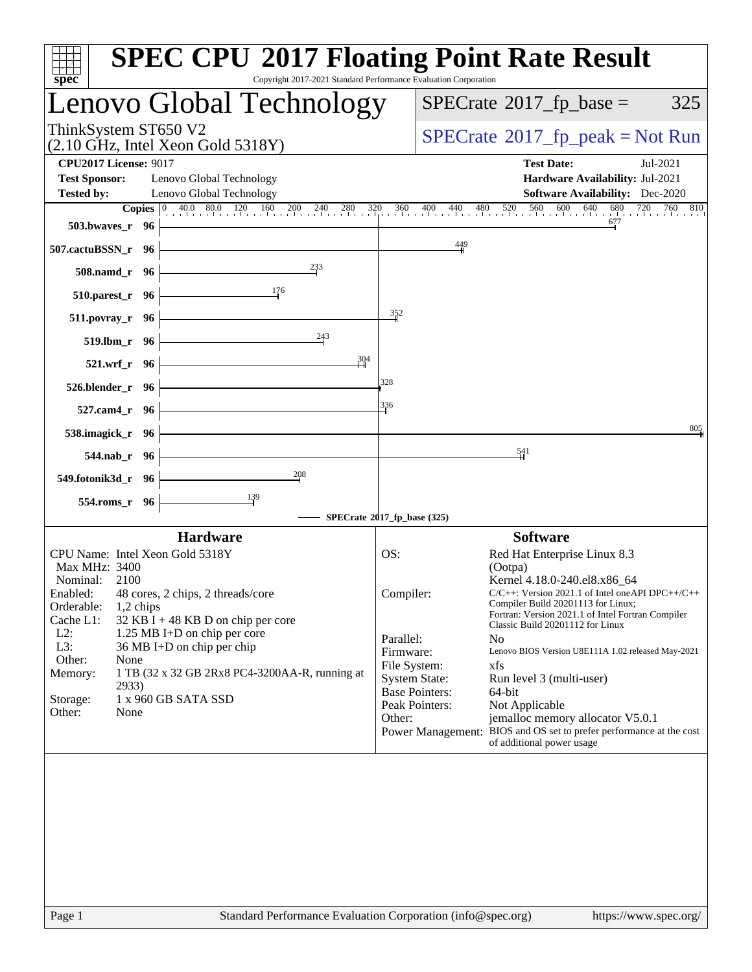| spec <sup>®</sup>                                                                                                         | <b>SPEC CPU®2017 Floating Point Rate Result</b><br>Copyright 2017-2021 Standard Performance Evaluation Corporation |
|---------------------------------------------------------------------------------------------------------------------------|--------------------------------------------------------------------------------------------------------------------|
| Lenovo Global Technology                                                                                                  | $SPECrate^{\circledast}2017$ _fp_base =<br>325                                                                     |
| ThinkSystem ST650 V2<br>$(2.10 \text{ GHz}, \text{Intel Xeon Gold } 5318\text{Y})$                                        | $SPECrate^{\circ}2017rfp peak = Not Run$                                                                           |
| <b>CPU2017 License: 9017</b>                                                                                              | <b>Test Date:</b><br>Jul-2021                                                                                      |
| <b>Test Sponsor:</b><br>Lenovo Global Technology<br><b>Tested by:</b><br>Lenovo Global Technology                         | Hardware Availability: Jul-2021<br><b>Software Availability:</b> Dec-2020                                          |
| <b>Copies</b> $\begin{bmatrix} 0 & 40.0 & 80.0 & 120 & 160 & 200 & 240 & 280 & 320 & 360 & 400 & 440 & 480 \end{bmatrix}$ | $680$ 720<br>520<br>560<br>600 640<br>760 810                                                                      |
| 503.bwayes_r 96                                                                                                           | 677                                                                                                                |
| 507.cactuBSSN_r 96                                                                                                        | $\frac{449}{4}$                                                                                                    |
| 233<br>508.namd_r 96                                                                                                      |                                                                                                                    |
| 176<br>510.parest_r 96                                                                                                    |                                                                                                                    |
| $511. povray_r$ 96                                                                                                        | $\frac{352}{2}$                                                                                                    |
| 243<br>519.lbm r 96                                                                                                       |                                                                                                                    |
| 304<br>521.wrf_r 96                                                                                                       |                                                                                                                    |
| 526.blender_r 96                                                                                                          | 328                                                                                                                |
| 527.cam4_r 96                                                                                                             | 336                                                                                                                |
| 538.imagick_r 96                                                                                                          | 805                                                                                                                |
| 544.nab_r 96                                                                                                              | $\frac{541}{5}$                                                                                                    |
| 208<br>549.fotonik3d_r 96                                                                                                 |                                                                                                                    |
| 139<br>554.roms_r 96                                                                                                      |                                                                                                                    |
|                                                                                                                           | SPECrate®2017_fp_base (325)                                                                                        |
| <b>Hardware</b>                                                                                                           | <b>Software</b>                                                                                                    |
| CPU Name: Intel Xeon Gold 5318Y<br>Max MHz: 3400                                                                          | OS:<br>Red Hat Enterprise Linux 8.3<br>(Ootpa)                                                                     |
| Nominal: 2100                                                                                                             | Kernel 4.18.0-240.el8.x86_64                                                                                       |
| 48 cores, 2 chips, 2 threads/core<br>Enabled:                                                                             | $C/C++$ : Version 2021.1 of Intel one API DPC++/C++<br>Compiler:                                                   |
| Orderable:<br>$1,2$ chips                                                                                                 | Compiler Build 20201113 for Linux;<br>Fortran: Version 2021.1 of Intel Fortran Compiler                            |
| Cache L1:<br>$32$ KB I + 48 KB D on chip per core                                                                         | Classic Build 20201112 for Linux                                                                                   |
| $L2$ :<br>1.25 MB I+D on chip per core                                                                                    | Parallel:<br>N <sub>0</sub>                                                                                        |
| L3:<br>36 MB I+D on chip per chip                                                                                         | Firmware:<br>Lenovo BIOS Version U8E111A 1.02 released May-2021                                                    |
| Other:<br>None<br>1 TB (32 x 32 GB 2Rx8 PC4-3200AA-R, running at<br>Memory:                                               | File System:<br>xfs                                                                                                |
| 2933)                                                                                                                     | <b>System State:</b><br>Run level 3 (multi-user)                                                                   |
| 1 x 960 GB SATA SSD<br>Storage:                                                                                           | <b>Base Pointers:</b><br>64-bit                                                                                    |
| Other:<br>None                                                                                                            | Peak Pointers:<br>Not Applicable                                                                                   |
|                                                                                                                           | Other:<br>jemalloc memory allocator V5.0.1                                                                         |
|                                                                                                                           | Power Management: BIOS and OS set to prefer performance at the cost<br>of additional power usage                   |
|                                                                                                                           |                                                                                                                    |
|                                                                                                                           |                                                                                                                    |
|                                                                                                                           |                                                                                                                    |
|                                                                                                                           |                                                                                                                    |
|                                                                                                                           |                                                                                                                    |
|                                                                                                                           |                                                                                                                    |
|                                                                                                                           |                                                                                                                    |
| Page 1                                                                                                                    | Standard Performance Evaluation Corporation (info@spec.org)<br>https://www.spec.org/                               |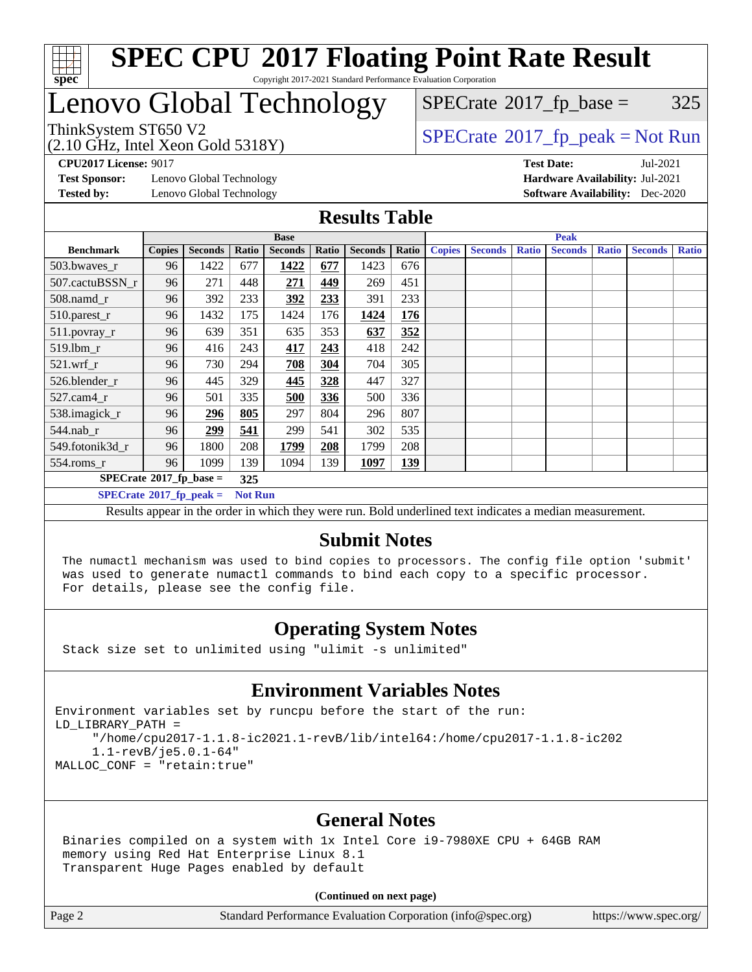

## Lenovo Global Technology

 $SPECTate@2017_fp\_base = 325$ 

(2.10 GHz, Intel Xeon Gold 5318Y)

ThinkSystem ST650 V2<br>  $\begin{array}{c} \text{75.10~cm} \\ \text{6.11~cm} \\ \text{75.10~cm} \\ \text{76.11~cm} \end{array}$  [SPECrate](http://www.spec.org/auto/cpu2017/Docs/result-fields.html#SPECrate2017fppeak)®[2017\\_fp\\_peak = N](http://www.spec.org/auto/cpu2017/Docs/result-fields.html#SPECrate2017fppeak)ot Run

**[CPU2017 License:](http://www.spec.org/auto/cpu2017/Docs/result-fields.html#CPU2017License)** 9017 **[Test Date:](http://www.spec.org/auto/cpu2017/Docs/result-fields.html#TestDate)** Jul-2021

**[Test Sponsor:](http://www.spec.org/auto/cpu2017/Docs/result-fields.html#TestSponsor)** Lenovo Global Technology **[Hardware Availability:](http://www.spec.org/auto/cpu2017/Docs/result-fields.html#HardwareAvailability)** Jul-2021 **[Tested by:](http://www.spec.org/auto/cpu2017/Docs/result-fields.html#Testedby)** Lenovo Global Technology **[Software Availability:](http://www.spec.org/auto/cpu2017/Docs/result-fields.html#SoftwareAvailability)** Dec-2020

#### **[Results Table](http://www.spec.org/auto/cpu2017/Docs/result-fields.html#ResultsTable)**

|                                           | <b>Base</b>   |                |                |                |       | <b>Peak</b>    |            |               |                |              |                |              |                |              |
|-------------------------------------------|---------------|----------------|----------------|----------------|-------|----------------|------------|---------------|----------------|--------------|----------------|--------------|----------------|--------------|
| <b>Benchmark</b>                          | <b>Copies</b> | <b>Seconds</b> | Ratio          | <b>Seconds</b> | Ratio | <b>Seconds</b> | Ratio      | <b>Copies</b> | <b>Seconds</b> | <b>Ratio</b> | <b>Seconds</b> | <b>Ratio</b> | <b>Seconds</b> | <b>Ratio</b> |
| 503.bwaves_r                              | 96            | 1422           | 677            | 1422           | 677   | 1423           | 676        |               |                |              |                |              |                |              |
| 507.cactuBSSN r                           | 96            | 271            | 448            | 271            | 449   | 269            | 451        |               |                |              |                |              |                |              |
| $508$ .namd $r$                           | 96            | 392            | 233            | 392            | 233   | 391            | 233        |               |                |              |                |              |                |              |
| 510.parest_r                              | 96            | 1432           | 175            | 1424           | 176   | 1424           | <u>176</u> |               |                |              |                |              |                |              |
| 511.povray_r                              | 96            | 639            | 351            | 635            | 353   | 637            | 352        |               |                |              |                |              |                |              |
| 519.lbm r                                 | 96            | 416            | 243            | 417            | 243   | 418            | 242        |               |                |              |                |              |                |              |
| $521$ .wrf r                              | 96            | 730            | 294            | 708            | 304   | 704            | 305        |               |                |              |                |              |                |              |
| 526.blender r                             | 96            | 445            | 329            | 445            | 328   | 447            | 327        |               |                |              |                |              |                |              |
| $527.cam4_r$                              | 96            | 501            | 335            | 500            | 336   | 500            | 336        |               |                |              |                |              |                |              |
| 538.imagick_r                             | 96            | 296            | 805            | 297            | 804   | 296            | 807        |               |                |              |                |              |                |              |
| $544$ .nab r                              | 96            | 299            | 541            | 299            | 541   | 302            | 535        |               |                |              |                |              |                |              |
| 549.fotonik3d r                           | 96            | 1800           | 208            | 1799           | 208   | 1799           | 208        |               |                |              |                |              |                |              |
| $554$ .roms_r                             | 96            | 1099           | 139            | 1094           | 139   | 1097           | <u>139</u> |               |                |              |                |              |                |              |
| $SPECrate^{\otimes}2017$ fp base =<br>325 |               |                |                |                |       |                |            |               |                |              |                |              |                |              |
| $SPECrate^{\circ}2017$ fp peak =          |               |                | <b>Not Run</b> |                |       |                |            |               |                |              |                |              |                |              |

Results appear in the [order in which they were run](http://www.spec.org/auto/cpu2017/Docs/result-fields.html#RunOrder). Bold underlined text [indicates a median measurement](http://www.spec.org/auto/cpu2017/Docs/result-fields.html#Median).

#### **[Submit Notes](http://www.spec.org/auto/cpu2017/Docs/result-fields.html#SubmitNotes)**

 The numactl mechanism was used to bind copies to processors. The config file option 'submit' was used to generate numactl commands to bind each copy to a specific processor. For details, please see the config file.

#### **[Operating System Notes](http://www.spec.org/auto/cpu2017/Docs/result-fields.html#OperatingSystemNotes)**

Stack size set to unlimited using "ulimit -s unlimited"

#### **[Environment Variables Notes](http://www.spec.org/auto/cpu2017/Docs/result-fields.html#EnvironmentVariablesNotes)**

```
Environment variables set by runcpu before the start of the run:
LD_LIBRARY_PATH =
      "/home/cpu2017-1.1.8-ic2021.1-revB/lib/intel64:/home/cpu2017-1.1.8-ic202
      1.1-revB/je5.0.1-64"
MALLOC_CONF = "retain:true"
```
#### **[General Notes](http://www.spec.org/auto/cpu2017/Docs/result-fields.html#GeneralNotes)**

 Binaries compiled on a system with 1x Intel Core i9-7980XE CPU + 64GB RAM memory using Red Hat Enterprise Linux 8.1 Transparent Huge Pages enabled by default

#### **(Continued on next page)**

Page 2 Standard Performance Evaluation Corporation [\(info@spec.org\)](mailto:info@spec.org) <https://www.spec.org/>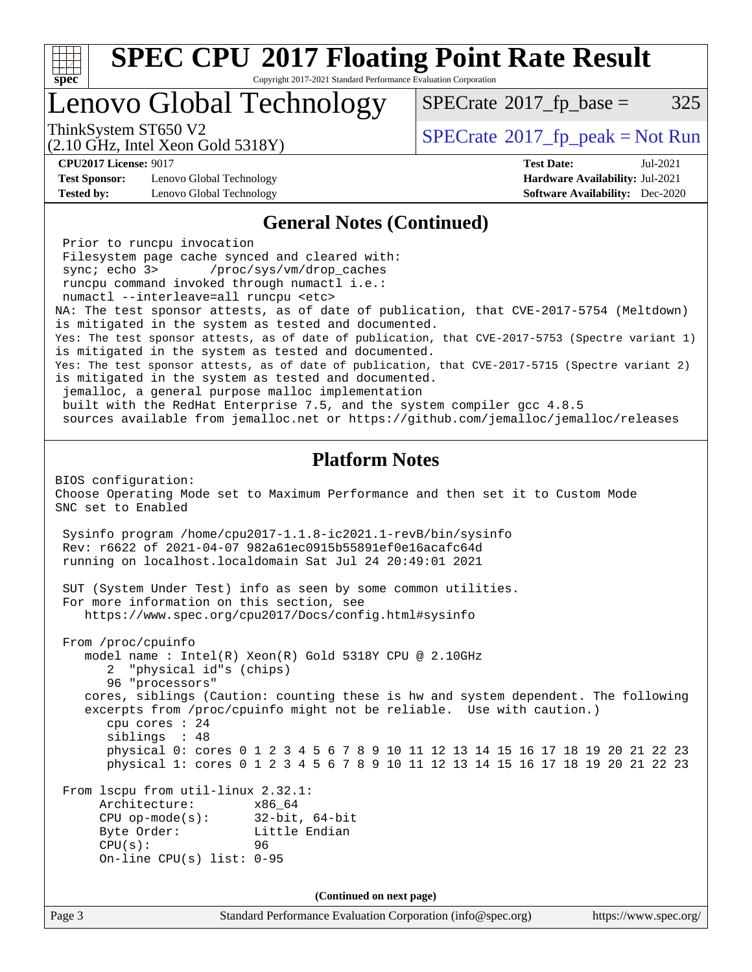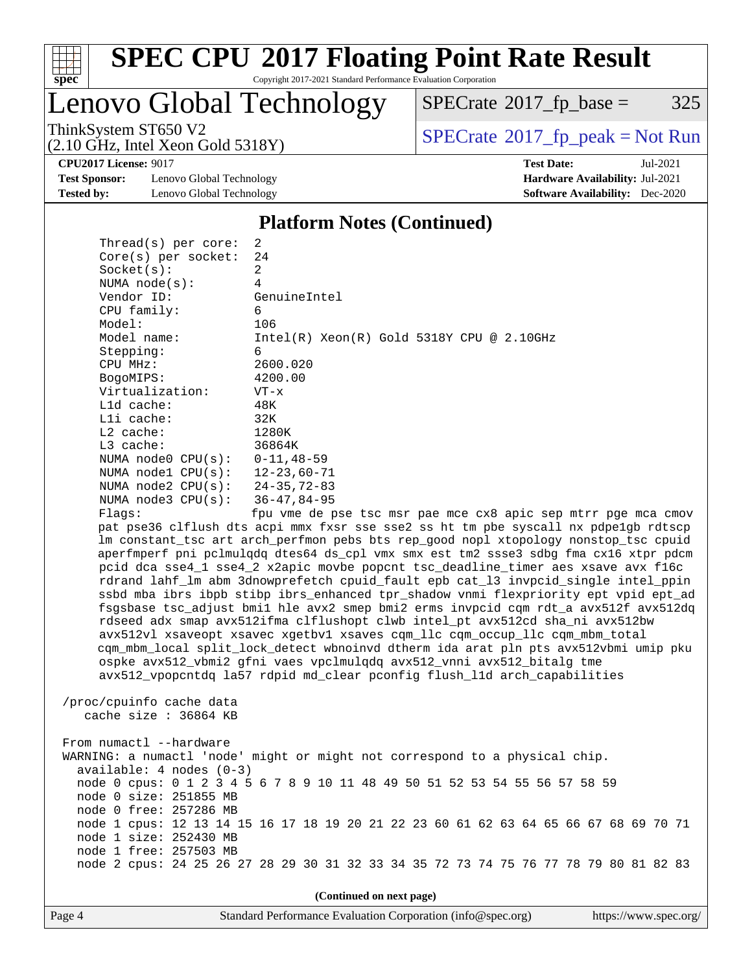

# **[SPEC CPU](http://www.spec.org/auto/cpu2017/Docs/result-fields.html#SPECCPU2017FloatingPointRateResult)[2017 Floating Point Rate Result](http://www.spec.org/auto/cpu2017/Docs/result-fields.html#SPECCPU2017FloatingPointRateResult)**

Copyright 2017-2021 Standard Performance Evaluation Corporation

Lenovo Global Technology

 $SPECTate@2017_fp\_base = 325$ 

(2.10 GHz, Intel Xeon Gold 5318Y)

ThinkSystem ST650 V2<br>
(2.10 GHz, Intel Xeon Gold 5318Y) [SPECrate](http://www.spec.org/auto/cpu2017/Docs/result-fields.html#SPECrate2017fppeak)®[2017\\_fp\\_peak = N](http://www.spec.org/auto/cpu2017/Docs/result-fields.html#SPECrate2017fppeak)ot Run

**[CPU2017 License:](http://www.spec.org/auto/cpu2017/Docs/result-fields.html#CPU2017License)** 9017 **[Test Date:](http://www.spec.org/auto/cpu2017/Docs/result-fields.html#TestDate)** Jul-2021

**[Test Sponsor:](http://www.spec.org/auto/cpu2017/Docs/result-fields.html#TestSponsor)** Lenovo Global Technology **[Hardware Availability:](http://www.spec.org/auto/cpu2017/Docs/result-fields.html#HardwareAvailability)** Jul-2021 **[Tested by:](http://www.spec.org/auto/cpu2017/Docs/result-fields.html#Testedby)** Lenovo Global Technology **[Software Availability:](http://www.spec.org/auto/cpu2017/Docs/result-fields.html#SoftwareAvailability)** Dec-2020

**[Platform Notes \(Continued\)](http://www.spec.org/auto/cpu2017/Docs/result-fields.html#PlatformNotes)**

| Thread(s) per core:            | 2                                                                                    |
|--------------------------------|--------------------------------------------------------------------------------------|
| $Core(s)$ per socket:          | 24                                                                                   |
| Socket(s):                     | 2                                                                                    |
| NUMA $node(s):$                | 4                                                                                    |
| Vendor ID:                     | GenuineIntel                                                                         |
| CPU family:                    | 6                                                                                    |
| Model:                         | 106                                                                                  |
| Model name:                    | $Intel(R) Xeon(R) Gold 5318Y CPU @ 2.10GHz$                                          |
| Stepping:                      | 6                                                                                    |
| CPU MHz:                       | 2600.020                                                                             |
| BogoMIPS:                      | 4200.00                                                                              |
| Virtualization:                | $VT - x$                                                                             |
| Lld cache:                     | 48K                                                                                  |
| $L1i$ cache:                   | 32K                                                                                  |
| $L2$ cache:                    | 1280K                                                                                |
| $L3$ cache:                    | 36864K                                                                               |
| NUMA $node0$ $CPU(s):$         | $0 - 11, 48 - 59$                                                                    |
| NUMA $node1$ $CPU(s):$         | $12 - 23,60 - 71$                                                                    |
| NUMA node2 CPU(s): 24-35,72-83 |                                                                                      |
| NUMA $node3$ $CPU(s)$ :        | $36 - 47, 84 - 95$                                                                   |
| Flaqs:                         | fpu vme de pse tsc msr pae mce cx8 apic sep mtrr pge mca cmov                        |
|                                | pat pse36 clflush dts acpi mmx fxsr sse sse2 ss ht tm pbe syscall nx pdpelgb rdtscp  |
|                                | lm constant_tsc art arch_perfmon pebs bts rep_good nopl xtopology nonstop_tsc cpuid  |
|                                | aperfmperf pni pclmulqdq dtes64 ds_cpl vmx smx est tm2 ssse3 sdbg fma cx16 xtpr pdcm |
|                                | pcid dca sse4_1 sse4_2 x2apic movbe popcnt tsc_deadline_timer aes xsave avx f16c     |
|                                | rdrand lahf_lm abm 3dnowprefetch cpuid_fault epb cat_13 invpcid_single intel_ppin    |
|                                | ssbd mba ibrs ibpb stibp ibrs_enhanced tpr_shadow vnmi flexpriority ept vpid ept_ad  |
|                                | fsgsbase tsc_adjust bmil hle avx2 smep bmi2 erms invpcid cqm rdt_a avx512f avx512dq  |
|                                | rdseed adx smap avx512ifma clflushopt clwb intel_pt avx512cd sha_ni avx512bw         |
|                                | avx512vl xsaveopt xsavec xgetbvl xsaves cqm_llc cqm_occup_llc cqm_mbm_total          |
|                                | cqm_mbm_local split_lock_detect wbnoinvd dtherm ida arat pln pts avx512vbmi umip pku |
|                                | ospke avx512_vbmi2 gfni vaes vpclmulgdq avx512_vnni avx512_bitalg tme                |
|                                | avx512_vpopcntdq la57 rdpid md_clear pconfig flush_l1d arch_capabilities             |
|                                |                                                                                      |
| /proc/cpuinfo cache data       |                                                                                      |
| cache size : 36864 KB          |                                                                                      |
|                                |                                                                                      |
| From numactl --hardware        |                                                                                      |
|                                | WARNING: a numactl 'node' might or might not correspond to a physical chip.          |
| $available: 4 nodes (0-3)$     |                                                                                      |
|                                | node 0 cpus: 0 1 2 3 4 5 6 7 8 9 10 11 48 49 50 51 52 53 54 55 56 57 58 59           |
| node 0 size: 251855 MB         |                                                                                      |
| node 0 free: 257286 MB         |                                                                                      |
|                                | node 1 cpus: 12 13 14 15 16 17 18 19 20 21 22 23 60 61 62 63 64 65 66 67 68 69 70 71 |
| node 1 size: 252430 MB         |                                                                                      |
| node 1 free: 257503 MB         |                                                                                      |

**(Continued on next page)**

node 2 cpus: 24 25 26 27 28 29 30 31 32 33 34 35 72 73 74 75 76 77 78 79 80 81 82 83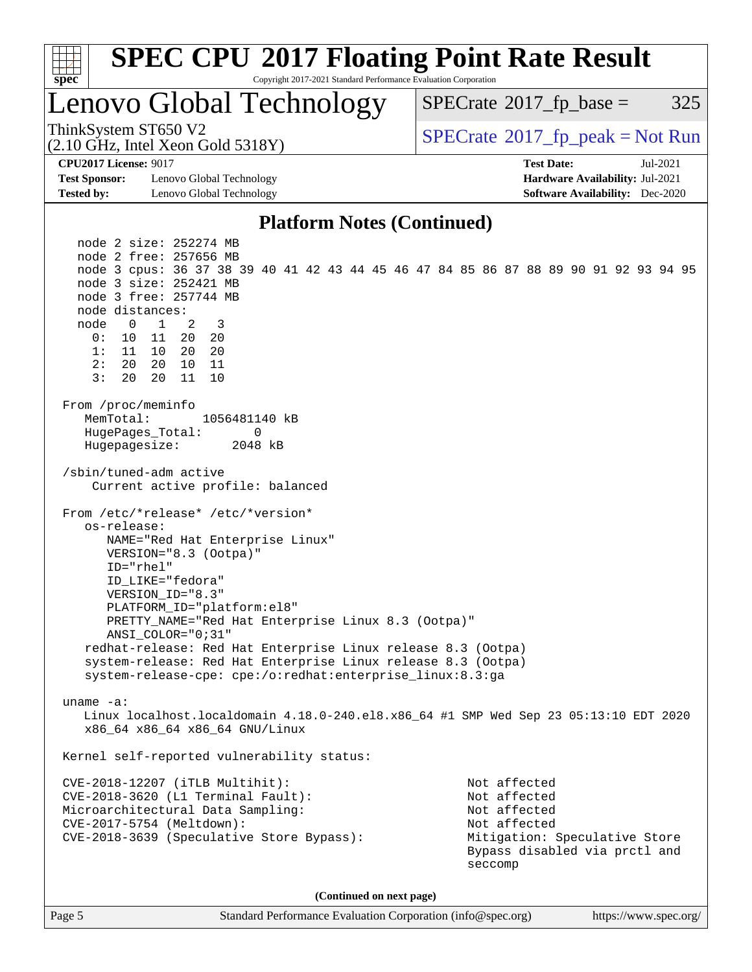

Page 5 Standard Performance Evaluation Corporation [\(info@spec.org\)](mailto:info@spec.org) <https://www.spec.org/>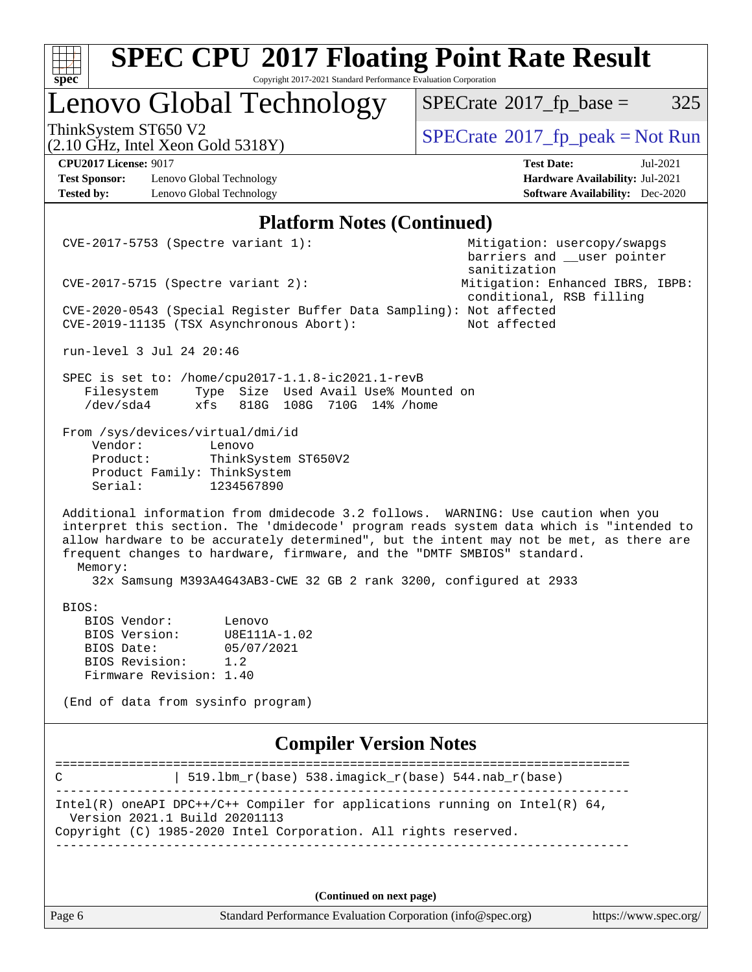| <b>SPEC CPU®2017 Floating Point Rate Result</b>                                                                                                                                                                                                                                                                                                                                                                                     |                                                                              |  |  |  |  |  |
|-------------------------------------------------------------------------------------------------------------------------------------------------------------------------------------------------------------------------------------------------------------------------------------------------------------------------------------------------------------------------------------------------------------------------------------|------------------------------------------------------------------------------|--|--|--|--|--|
| Copyright 2017-2021 Standard Performance Evaluation Corporation<br>spec                                                                                                                                                                                                                                                                                                                                                             |                                                                              |  |  |  |  |  |
| Lenovo Global Technology                                                                                                                                                                                                                                                                                                                                                                                                            | 325<br>$SPECrate^{\circ}2017$ fp base =                                      |  |  |  |  |  |
| ThinkSystem ST650 V2<br>$(2.10 \text{ GHz}, \text{Intel Xeon Gold } 5318 \text{Y})$                                                                                                                                                                                                                                                                                                                                                 | $SPECrate^{\circ}2017rfp peak = Not Run$                                     |  |  |  |  |  |
| <b>CPU2017 License: 9017</b>                                                                                                                                                                                                                                                                                                                                                                                                        | <b>Test Date:</b><br>Jul-2021                                                |  |  |  |  |  |
| <b>Test Sponsor:</b><br>Lenovo Global Technology<br><b>Tested by:</b><br>Lenovo Global Technology                                                                                                                                                                                                                                                                                                                                   | Hardware Availability: Jul-2021<br><b>Software Availability:</b> Dec-2020    |  |  |  |  |  |
| <b>Platform Notes (Continued)</b>                                                                                                                                                                                                                                                                                                                                                                                                   |                                                                              |  |  |  |  |  |
| CVE-2017-5753 (Spectre variant 1):                                                                                                                                                                                                                                                                                                                                                                                                  | Mitigation: usercopy/swapgs<br>barriers and __user pointer                   |  |  |  |  |  |
| $CVE-2017-5715$ (Spectre variant 2):                                                                                                                                                                                                                                                                                                                                                                                                | sanitization<br>Mitigation: Enhanced IBRS, IBPB:<br>conditional, RSB filling |  |  |  |  |  |
| CVE-2020-0543 (Special Register Buffer Data Sampling): Not affected<br>CVE-2019-11135 (TSX Asynchronous Abort):                                                                                                                                                                                                                                                                                                                     | Not affected                                                                 |  |  |  |  |  |
| run-level 3 Jul 24 20:46                                                                                                                                                                                                                                                                                                                                                                                                            |                                                                              |  |  |  |  |  |
| SPEC is set to: /home/cpu2017-1.1.8-ic2021.1-revB<br>Type Size Used Avail Use% Mounted on<br>Filesystem<br>/dev/sda4<br>818G 108G 710G 14% / home<br>xfs                                                                                                                                                                                                                                                                            |                                                                              |  |  |  |  |  |
| From /sys/devices/virtual/dmi/id<br>Vendor:<br>Lenovo<br>Product:<br>ThinkSystem ST650V2<br>Product Family: ThinkSystem<br>1234567890<br>Serial:                                                                                                                                                                                                                                                                                    |                                                                              |  |  |  |  |  |
| Additional information from dmidecode 3.2 follows. WARNING: Use caution when you<br>interpret this section. The 'dmidecode' program reads system data which is "intended to<br>allow hardware to be accurately determined", but the intent may not be met, as there are<br>frequent changes to hardware, firmware, and the "DMTF SMBIOS" standard.<br>Memory:<br>32x Samsung M393A4G43AB3-CWE 32 GB 2 rank 3200, configured at 2933 |                                                                              |  |  |  |  |  |
| BIOS:                                                                                                                                                                                                                                                                                                                                                                                                                               |                                                                              |  |  |  |  |  |
| BIOS Vendor:<br>Lenovo                                                                                                                                                                                                                                                                                                                                                                                                              |                                                                              |  |  |  |  |  |
| BIOS Version:<br>U8E111A-1.02<br>05/07/2021<br>BIOS Date:                                                                                                                                                                                                                                                                                                                                                                           |                                                                              |  |  |  |  |  |
| BIOS Revision: 1.2                                                                                                                                                                                                                                                                                                                                                                                                                  |                                                                              |  |  |  |  |  |
| Firmware Revision: 1.40                                                                                                                                                                                                                                                                                                                                                                                                             |                                                                              |  |  |  |  |  |
| (End of data from sysinfo program)                                                                                                                                                                                                                                                                                                                                                                                                  |                                                                              |  |  |  |  |  |
| <b>Compiler Version Notes</b>                                                                                                                                                                                                                                                                                                                                                                                                       |                                                                              |  |  |  |  |  |
| 519.1bm_r(base) 538.imagick_r(base) 544.nab_r(base)<br>C                                                                                                                                                                                                                                                                                                                                                                            |                                                                              |  |  |  |  |  |
| Intel(R) oneAPI DPC++/C++ Compiler for applications running on Intel(R) $64$ ,                                                                                                                                                                                                                                                                                                                                                      |                                                                              |  |  |  |  |  |
| Version 2021.1 Build 20201113<br>Copyright (C) 1985-2020 Intel Corporation. All rights reserved.                                                                                                                                                                                                                                                                                                                                    |                                                                              |  |  |  |  |  |
|                                                                                                                                                                                                                                                                                                                                                                                                                                     |                                                                              |  |  |  |  |  |
|                                                                                                                                                                                                                                                                                                                                                                                                                                     |                                                                              |  |  |  |  |  |
| (Continued on next page)                                                                                                                                                                                                                                                                                                                                                                                                            |                                                                              |  |  |  |  |  |
| Page 6<br>Standard Performance Evaluation Corporation (info@spec.org)                                                                                                                                                                                                                                                                                                                                                               | https://www.spec.org/                                                        |  |  |  |  |  |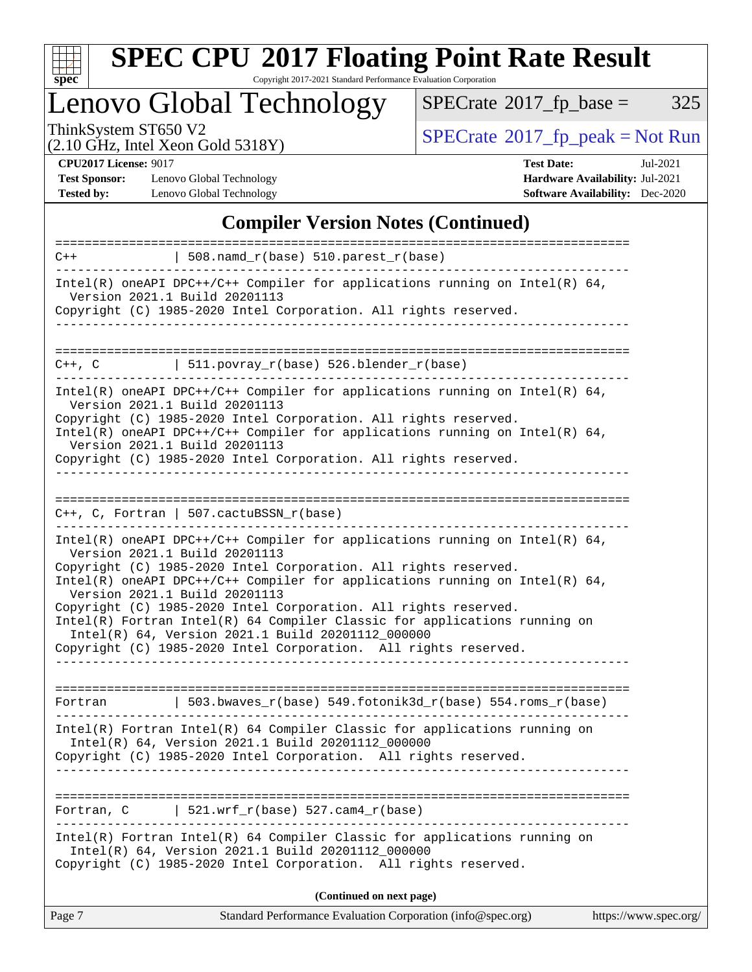

# **[SPEC CPU](http://www.spec.org/auto/cpu2017/Docs/result-fields.html#SPECCPU2017FloatingPointRateResult)[2017 Floating Point Rate Result](http://www.spec.org/auto/cpu2017/Docs/result-fields.html#SPECCPU2017FloatingPointRateResult)**

Copyright 2017-2021 Standard Performance Evaluation Corporation

Lenovo Global Technology

 $SPECTate@2017_fp\_base = 325$ 

(2.10 GHz, Intel Xeon Gold 5318Y)

ThinkSystem ST650 V2<br>
(2.10 GHz, Intel Xeon Gold 5318Y) [SPECrate](http://www.spec.org/auto/cpu2017/Docs/result-fields.html#SPECrate2017fppeak)®[2017\\_fp\\_peak = N](http://www.spec.org/auto/cpu2017/Docs/result-fields.html#SPECrate2017fppeak)ot Run

**[Test Sponsor:](http://www.spec.org/auto/cpu2017/Docs/result-fields.html#TestSponsor)** Lenovo Global Technology **[Hardware Availability:](http://www.spec.org/auto/cpu2017/Docs/result-fields.html#HardwareAvailability)** Jul-2021 **[Tested by:](http://www.spec.org/auto/cpu2017/Docs/result-fields.html#Testedby)** Lenovo Global Technology **[Software Availability:](http://www.spec.org/auto/cpu2017/Docs/result-fields.html#SoftwareAvailability)** Dec-2020

**[CPU2017 License:](http://www.spec.org/auto/cpu2017/Docs/result-fields.html#CPU2017License)** 9017 **[Test Date:](http://www.spec.org/auto/cpu2017/Docs/result-fields.html#TestDate)** Jul-2021

### **[Compiler Version Notes \(Continued\)](http://www.spec.org/auto/cpu2017/Docs/result-fields.html#CompilerVersionNotes)**

| $C++$                             | $508.n$ amd_r(base) $510.parest_r(base)$                                                                                                                                                                                                                                                                                                                                                                                                                                                                                                                                      |                       |
|-----------------------------------|-------------------------------------------------------------------------------------------------------------------------------------------------------------------------------------------------------------------------------------------------------------------------------------------------------------------------------------------------------------------------------------------------------------------------------------------------------------------------------------------------------------------------------------------------------------------------------|-----------------------|
|                                   | Intel(R) oneAPI DPC++/C++ Compiler for applications running on Intel(R) $64$ ,<br>Version 2021.1 Build 20201113<br>Copyright (C) 1985-2020 Intel Corporation. All rights reserved.                                                                                                                                                                                                                                                                                                                                                                                            |                       |
|                                   |                                                                                                                                                                                                                                                                                                                                                                                                                                                                                                                                                                               |                       |
| $C++$ , $C$                       | $  511.povray_r(base) 526.blender_r(base)$                                                                                                                                                                                                                                                                                                                                                                                                                                                                                                                                    |                       |
|                                   | Intel(R) oneAPI DPC++/C++ Compiler for applications running on Intel(R) $64$ ,<br>Version 2021.1 Build 20201113<br>Copyright (C) 1985-2020 Intel Corporation. All rights reserved.<br>Intel(R) oneAPI DPC++/C++ Compiler for applications running on Intel(R) $64$ ,<br>Version 2021.1 Build 20201113<br>Copyright (C) 1985-2020 Intel Corporation. All rights reserved.                                                                                                                                                                                                      |                       |
|                                   | $C_{++}$ , C, Fortran   507.cactuBSSN_r(base)                                                                                                                                                                                                                                                                                                                                                                                                                                                                                                                                 |                       |
|                                   | Intel(R) oneAPI DPC++/C++ Compiler for applications running on Intel(R) $64$ ,<br>Version 2021.1 Build 20201113<br>Copyright (C) 1985-2020 Intel Corporation. All rights reserved.<br>Intel(R) oneAPI DPC++/C++ Compiler for applications running on Intel(R) $64$ ,<br>Version 2021.1 Build 20201113<br>Copyright (C) 1985-2020 Intel Corporation. All rights reserved.<br>Intel(R) Fortran Intel(R) 64 Compiler Classic for applications running on<br>Intel(R) 64, Version 2021.1 Build 20201112_000000<br>Copyright (C) 1985-2020 Intel Corporation. All rights reserved. |                       |
| Fortran                           | 503.bwaves_r(base) 549.fotonik3d_r(base) 554.roms_r(base)                                                                                                                                                                                                                                                                                                                                                                                                                                                                                                                     |                       |
|                                   | $Intel(R)$ Fortran Intel(R) 64 Compiler Classic for applications running on<br>Intel(R) 64, Version 2021.1 Build 20201112_000000<br>Copyright (C) 1985-2020 Intel Corporation. All rights reserved.                                                                                                                                                                                                                                                                                                                                                                           |                       |
| ===================<br>Fortran, C | $521.wrf_r(base) 527.cam4_r(base)$                                                                                                                                                                                                                                                                                                                                                                                                                                                                                                                                            |                       |
|                                   | Intel(R) Fortran Intel(R) 64 Compiler Classic for applications running on<br>Intel(R) 64, Version 2021.1 Build 20201112_000000<br>Copyright (C) 1985-2020 Intel Corporation. All rights reserved.                                                                                                                                                                                                                                                                                                                                                                             |                       |
|                                   | (Continued on next page)                                                                                                                                                                                                                                                                                                                                                                                                                                                                                                                                                      |                       |
| Page 7                            | Standard Performance Evaluation Corporation (info@spec.org)                                                                                                                                                                                                                                                                                                                                                                                                                                                                                                                   | https://www.spec.org/ |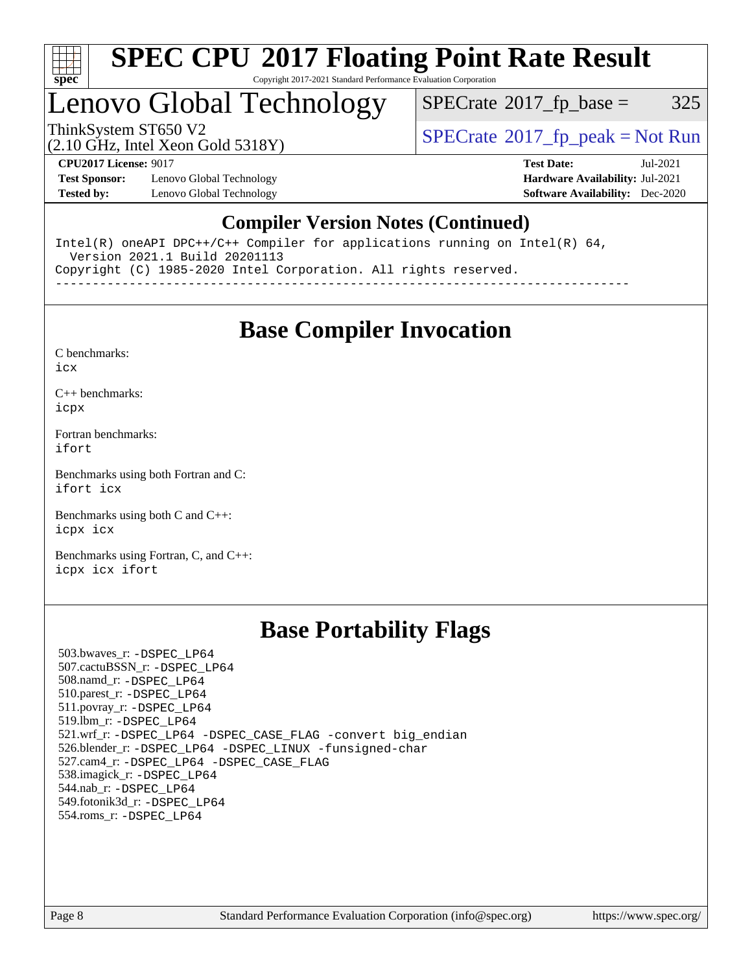

## Lenovo Global Technology

 $SPECTate@2017_fp\_base = 325$ 

(2.10 GHz, Intel Xeon Gold 5318Y)

ThinkSystem ST650 V2<br>  $\begin{array}{c}\n\text{SPECrate} \textcirc 2017\_fp\_peak = Not Run \\
\text{SPECrate} \textcirc 2017\_fp\_peak = Not Run\n\end{array}$  $\begin{array}{c}\n\text{SPECrate} \textcirc 2017\_fp\_peak = Not Run \\
\text{SPECrate} \textcirc 2017\_fp\_peak = Not Run\n\end{array}$  $\begin{array}{c}\n\text{SPECrate} \textcirc 2017\_fp\_peak = Not Run \\
\text{SPECrate} \textcirc 2017\_fp\_peak = Not Run\n\end{array}$ 

**[Test Sponsor:](http://www.spec.org/auto/cpu2017/Docs/result-fields.html#TestSponsor)** Lenovo Global Technology **[Hardware Availability:](http://www.spec.org/auto/cpu2017/Docs/result-fields.html#HardwareAvailability)** Jul-2021 **[Tested by:](http://www.spec.org/auto/cpu2017/Docs/result-fields.html#Testedby)** Lenovo Global Technology **[Software Availability:](http://www.spec.org/auto/cpu2017/Docs/result-fields.html#SoftwareAvailability)** Dec-2020

**[CPU2017 License:](http://www.spec.org/auto/cpu2017/Docs/result-fields.html#CPU2017License)** 9017 **[Test Date:](http://www.spec.org/auto/cpu2017/Docs/result-fields.html#TestDate)** Jul-2021

## **[Compiler Version Notes \(Continued\)](http://www.spec.org/auto/cpu2017/Docs/result-fields.html#CompilerVersionNotes)**

Intel(R) oneAPI DPC++/C++ Compiler for applications running on Intel(R) 64, Version 2021.1 Build 20201113 Copyright (C) 1985-2020 Intel Corporation. All rights reserved.

------------------------------------------------------------------------------

**[Base Compiler Invocation](http://www.spec.org/auto/cpu2017/Docs/result-fields.html#BaseCompilerInvocation)**

[C benchmarks](http://www.spec.org/auto/cpu2017/Docs/result-fields.html#Cbenchmarks):

[icx](http://www.spec.org/cpu2017/results/res2021q3/cpu2017-20210802-28605.flags.html#user_CCbase_intel_icx_fe2d28d19ae2a5db7c42fe0f2a2aed77cb715edd4aeb23434404a8be6683fe239869bb6ca8154ca98265c2e3b9226a719a0efe2953a4a7018c379b7010ccf087)

[C++ benchmarks:](http://www.spec.org/auto/cpu2017/Docs/result-fields.html#CXXbenchmarks) [icpx](http://www.spec.org/cpu2017/results/res2021q3/cpu2017-20210802-28605.flags.html#user_CXXbase_intel_icpx_1e918ed14c436bf4b9b7c8bcdd51d4539fc71b3df010bd1e9f8732d9c34c2b2914e48204a846820f3c0ebb4095dea797a5c30b458ac0b6dffac65d78f781f5ca)

[Fortran benchmarks](http://www.spec.org/auto/cpu2017/Docs/result-fields.html#Fortranbenchmarks): [ifort](http://www.spec.org/cpu2017/results/res2021q3/cpu2017-20210802-28605.flags.html#user_FCbase_intel_ifort_8111460550e3ca792625aed983ce982f94888b8b503583aa7ba2b8303487b4d8a21a13e7191a45c5fd58ff318f48f9492884d4413fa793fd88dd292cad7027ca)

[Benchmarks using both Fortran and C](http://www.spec.org/auto/cpu2017/Docs/result-fields.html#BenchmarksusingbothFortranandC): [ifort](http://www.spec.org/cpu2017/results/res2021q3/cpu2017-20210802-28605.flags.html#user_CC_FCbase_intel_ifort_8111460550e3ca792625aed983ce982f94888b8b503583aa7ba2b8303487b4d8a21a13e7191a45c5fd58ff318f48f9492884d4413fa793fd88dd292cad7027ca) [icx](http://www.spec.org/cpu2017/results/res2021q3/cpu2017-20210802-28605.flags.html#user_CC_FCbase_intel_icx_fe2d28d19ae2a5db7c42fe0f2a2aed77cb715edd4aeb23434404a8be6683fe239869bb6ca8154ca98265c2e3b9226a719a0efe2953a4a7018c379b7010ccf087)

[Benchmarks using both C and C++](http://www.spec.org/auto/cpu2017/Docs/result-fields.html#BenchmarksusingbothCandCXX): [icpx](http://www.spec.org/cpu2017/results/res2021q3/cpu2017-20210802-28605.flags.html#user_CC_CXXbase_intel_icpx_1e918ed14c436bf4b9b7c8bcdd51d4539fc71b3df010bd1e9f8732d9c34c2b2914e48204a846820f3c0ebb4095dea797a5c30b458ac0b6dffac65d78f781f5ca) [icx](http://www.spec.org/cpu2017/results/res2021q3/cpu2017-20210802-28605.flags.html#user_CC_CXXbase_intel_icx_fe2d28d19ae2a5db7c42fe0f2a2aed77cb715edd4aeb23434404a8be6683fe239869bb6ca8154ca98265c2e3b9226a719a0efe2953a4a7018c379b7010ccf087)

[Benchmarks using Fortran, C, and C++:](http://www.spec.org/auto/cpu2017/Docs/result-fields.html#BenchmarksusingFortranCandCXX) [icpx](http://www.spec.org/cpu2017/results/res2021q3/cpu2017-20210802-28605.flags.html#user_CC_CXX_FCbase_intel_icpx_1e918ed14c436bf4b9b7c8bcdd51d4539fc71b3df010bd1e9f8732d9c34c2b2914e48204a846820f3c0ebb4095dea797a5c30b458ac0b6dffac65d78f781f5ca) [icx](http://www.spec.org/cpu2017/results/res2021q3/cpu2017-20210802-28605.flags.html#user_CC_CXX_FCbase_intel_icx_fe2d28d19ae2a5db7c42fe0f2a2aed77cb715edd4aeb23434404a8be6683fe239869bb6ca8154ca98265c2e3b9226a719a0efe2953a4a7018c379b7010ccf087) [ifort](http://www.spec.org/cpu2017/results/res2021q3/cpu2017-20210802-28605.flags.html#user_CC_CXX_FCbase_intel_ifort_8111460550e3ca792625aed983ce982f94888b8b503583aa7ba2b8303487b4d8a21a13e7191a45c5fd58ff318f48f9492884d4413fa793fd88dd292cad7027ca)

## **[Base Portability Flags](http://www.spec.org/auto/cpu2017/Docs/result-fields.html#BasePortabilityFlags)**

 503.bwaves\_r: [-DSPEC\\_LP64](http://www.spec.org/cpu2017/results/res2021q3/cpu2017-20210802-28605.flags.html#suite_basePORTABILITY503_bwaves_r_DSPEC_LP64) 507.cactuBSSN\_r: [-DSPEC\\_LP64](http://www.spec.org/cpu2017/results/res2021q3/cpu2017-20210802-28605.flags.html#suite_basePORTABILITY507_cactuBSSN_r_DSPEC_LP64) 508.namd\_r: [-DSPEC\\_LP64](http://www.spec.org/cpu2017/results/res2021q3/cpu2017-20210802-28605.flags.html#suite_basePORTABILITY508_namd_r_DSPEC_LP64) 510.parest\_r: [-DSPEC\\_LP64](http://www.spec.org/cpu2017/results/res2021q3/cpu2017-20210802-28605.flags.html#suite_basePORTABILITY510_parest_r_DSPEC_LP64) 511.povray\_r: [-DSPEC\\_LP64](http://www.spec.org/cpu2017/results/res2021q3/cpu2017-20210802-28605.flags.html#suite_basePORTABILITY511_povray_r_DSPEC_LP64) 519.lbm\_r: [-DSPEC\\_LP64](http://www.spec.org/cpu2017/results/res2021q3/cpu2017-20210802-28605.flags.html#suite_basePORTABILITY519_lbm_r_DSPEC_LP64) 521.wrf\_r: [-DSPEC\\_LP64](http://www.spec.org/cpu2017/results/res2021q3/cpu2017-20210802-28605.flags.html#suite_basePORTABILITY521_wrf_r_DSPEC_LP64) [-DSPEC\\_CASE\\_FLAG](http://www.spec.org/cpu2017/results/res2021q3/cpu2017-20210802-28605.flags.html#b521.wrf_r_baseCPORTABILITY_DSPEC_CASE_FLAG) [-convert big\\_endian](http://www.spec.org/cpu2017/results/res2021q3/cpu2017-20210802-28605.flags.html#user_baseFPORTABILITY521_wrf_r_convert_big_endian_c3194028bc08c63ac5d04de18c48ce6d347e4e562e8892b8bdbdc0214820426deb8554edfa529a3fb25a586e65a3d812c835984020483e7e73212c4d31a38223) 526.blender\_r: [-DSPEC\\_LP64](http://www.spec.org/cpu2017/results/res2021q3/cpu2017-20210802-28605.flags.html#suite_basePORTABILITY526_blender_r_DSPEC_LP64) [-DSPEC\\_LINUX](http://www.spec.org/cpu2017/results/res2021q3/cpu2017-20210802-28605.flags.html#b526.blender_r_baseCPORTABILITY_DSPEC_LINUX) [-funsigned-char](http://www.spec.org/cpu2017/results/res2021q3/cpu2017-20210802-28605.flags.html#user_baseCPORTABILITY526_blender_r_force_uchar_40c60f00ab013830e2dd6774aeded3ff59883ba5a1fc5fc14077f794d777847726e2a5858cbc7672e36e1b067e7e5c1d9a74f7176df07886a243d7cc18edfe67) 527.cam4\_r: [-DSPEC\\_LP64](http://www.spec.org/cpu2017/results/res2021q3/cpu2017-20210802-28605.flags.html#suite_basePORTABILITY527_cam4_r_DSPEC_LP64) [-DSPEC\\_CASE\\_FLAG](http://www.spec.org/cpu2017/results/res2021q3/cpu2017-20210802-28605.flags.html#b527.cam4_r_baseCPORTABILITY_DSPEC_CASE_FLAG) 538.imagick\_r: [-DSPEC\\_LP64](http://www.spec.org/cpu2017/results/res2021q3/cpu2017-20210802-28605.flags.html#suite_basePORTABILITY538_imagick_r_DSPEC_LP64) 544.nab\_r: [-DSPEC\\_LP64](http://www.spec.org/cpu2017/results/res2021q3/cpu2017-20210802-28605.flags.html#suite_basePORTABILITY544_nab_r_DSPEC_LP64) 549.fotonik3d\_r: [-DSPEC\\_LP64](http://www.spec.org/cpu2017/results/res2021q3/cpu2017-20210802-28605.flags.html#suite_basePORTABILITY549_fotonik3d_r_DSPEC_LP64) 554.roms\_r: [-DSPEC\\_LP64](http://www.spec.org/cpu2017/results/res2021q3/cpu2017-20210802-28605.flags.html#suite_basePORTABILITY554_roms_r_DSPEC_LP64)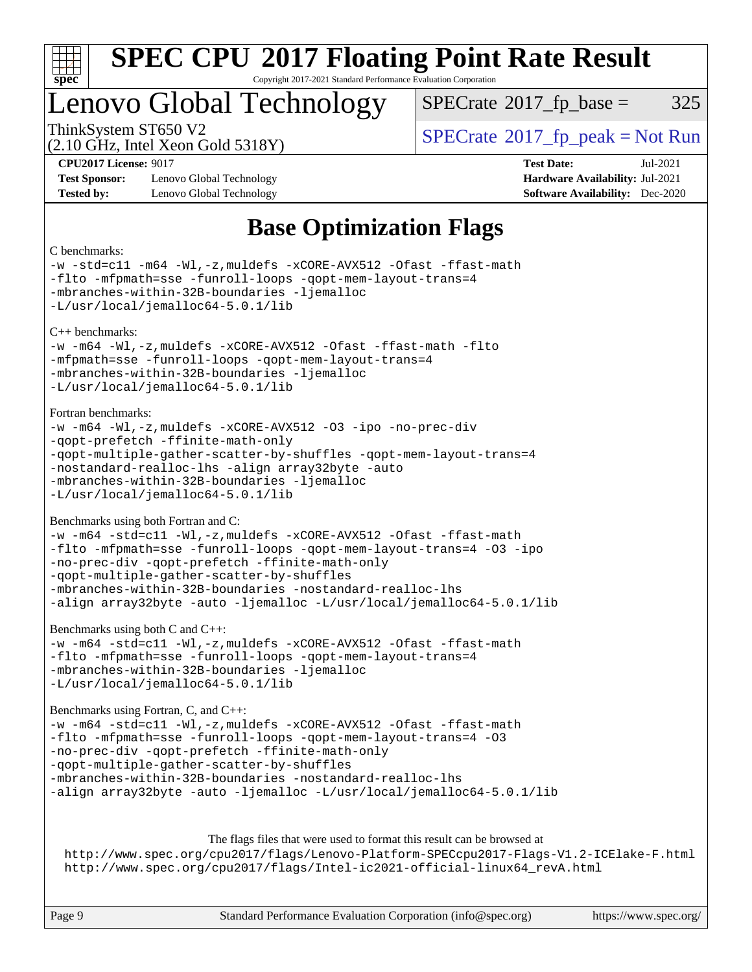

## Lenovo Global Technology

 $SPECTate@2017<sub>fp</sub> base =  $325$$ 

(2.10 GHz, Intel Xeon Gold 5318Y)

ThinkSystem ST650 V2<br>  $\begin{array}{c} \text{SPECrate} \textcirc 2017 \text{ fp\_peak} = \text{Not Run} \end{array}$  $\begin{array}{c} \text{SPECrate} \textcirc 2017 \text{ fp\_peak} = \text{Not Run} \end{array}$  $\begin{array}{c} \text{SPECrate} \textcirc 2017 \text{ fp\_peak} = \text{Not Run} \end{array}$ 

**[Test Sponsor:](http://www.spec.org/auto/cpu2017/Docs/result-fields.html#TestSponsor)** Lenovo Global Technology **[Hardware Availability:](http://www.spec.org/auto/cpu2017/Docs/result-fields.html#HardwareAvailability)** Jul-2021 **[Tested by:](http://www.spec.org/auto/cpu2017/Docs/result-fields.html#Testedby)** Lenovo Global Technology **[Software Availability:](http://www.spec.org/auto/cpu2017/Docs/result-fields.html#SoftwareAvailability)** Dec-2020

**[CPU2017 License:](http://www.spec.org/auto/cpu2017/Docs/result-fields.html#CPU2017License)** 9017 **[Test Date:](http://www.spec.org/auto/cpu2017/Docs/result-fields.html#TestDate)** Jul-2021

## **[Base Optimization Flags](http://www.spec.org/auto/cpu2017/Docs/result-fields.html#BaseOptimizationFlags)**

#### [C benchmarks:](http://www.spec.org/auto/cpu2017/Docs/result-fields.html#Cbenchmarks) [-w](http://www.spec.org/cpu2017/results/res2021q3/cpu2017-20210802-28605.flags.html#user_CCbase_supress_warning_66fb2c4e5c1dd10f38bdd29623979399e5ae75ae6e5453792d82ef66afed381df4a8602f92cac8d2ea0fffa7b93b4b1ccb9ecad4af01c9b2fe338b2082ae3859) [-std=c11](http://www.spec.org/cpu2017/results/res2021q3/cpu2017-20210802-28605.flags.html#user_CCbase_std-icc-std_0e1c27790398a4642dfca32ffe6c27b5796f9c2d2676156f2e42c9c44eaad0c049b1cdb667a270c34d979996257aeb8fc440bfb01818dbc9357bd9d174cb8524) [-m64](http://www.spec.org/cpu2017/results/res2021q3/cpu2017-20210802-28605.flags.html#user_CCbase_m64-icc) [-Wl,-z,muldefs](http://www.spec.org/cpu2017/results/res2021q3/cpu2017-20210802-28605.flags.html#user_CCbase_link_force_multiple1_b4cbdb97b34bdee9ceefcfe54f4c8ea74255f0b02a4b23e853cdb0e18eb4525ac79b5a88067c842dd0ee6996c24547a27a4b99331201badda8798ef8a743f577) [-xCORE-AVX512](http://www.spec.org/cpu2017/results/res2021q3/cpu2017-20210802-28605.flags.html#user_CCbase_f-xCORE-AVX512) [-Ofast](http://www.spec.org/cpu2017/results/res2021q3/cpu2017-20210802-28605.flags.html#user_CCbase_f-Ofast) [-ffast-math](http://www.spec.org/cpu2017/results/res2021q3/cpu2017-20210802-28605.flags.html#user_CCbase_f-ffast-math) [-flto](http://www.spec.org/cpu2017/results/res2021q3/cpu2017-20210802-28605.flags.html#user_CCbase_f-flto) [-mfpmath=sse](http://www.spec.org/cpu2017/results/res2021q3/cpu2017-20210802-28605.flags.html#user_CCbase_f-mfpmath_70eb8fac26bde974f8ab713bc9086c5621c0b8d2f6c86f38af0bd7062540daf19db5f3a066d8c6684be05d84c9b6322eb3b5be6619d967835195b93d6c02afa1) [-funroll-loops](http://www.spec.org/cpu2017/results/res2021q3/cpu2017-20210802-28605.flags.html#user_CCbase_f-funroll-loops) [-qopt-mem-layout-trans=4](http://www.spec.org/cpu2017/results/res2021q3/cpu2017-20210802-28605.flags.html#user_CCbase_f-qopt-mem-layout-trans_fa39e755916c150a61361b7846f310bcdf6f04e385ef281cadf3647acec3f0ae266d1a1d22d972a7087a248fd4e6ca390a3634700869573d231a252c784941a8) [-mbranches-within-32B-boundaries](http://www.spec.org/cpu2017/results/res2021q3/cpu2017-20210802-28605.flags.html#user_CCbase_f-mbranches-within-32B-boundaries) [-ljemalloc](http://www.spec.org/cpu2017/results/res2021q3/cpu2017-20210802-28605.flags.html#user_CCbase_jemalloc_link_lib_d1249b907c500fa1c0672f44f562e3d0f79738ae9e3c4a9c376d49f265a04b9c99b167ecedbf6711b3085be911c67ff61f150a17b3472be731631ba4d0471706) [-L/usr/local/jemalloc64-5.0.1/lib](http://www.spec.org/cpu2017/results/res2021q3/cpu2017-20210802-28605.flags.html#user_CCbase_jemalloc_link_path64_1_cc289568b1a6c0fd3b62c91b824c27fcb5af5e8098e6ad028160d21144ef1b8aef3170d2acf0bee98a8da324cfe4f67d0a3d0c4cc4673d993d694dc2a0df248b) [C++ benchmarks](http://www.spec.org/auto/cpu2017/Docs/result-fields.html#CXXbenchmarks): [-w](http://www.spec.org/cpu2017/results/res2021q3/cpu2017-20210802-28605.flags.html#user_CXXbase_supress_warning_66fb2c4e5c1dd10f38bdd29623979399e5ae75ae6e5453792d82ef66afed381df4a8602f92cac8d2ea0fffa7b93b4b1ccb9ecad4af01c9b2fe338b2082ae3859) [-m64](http://www.spec.org/cpu2017/results/res2021q3/cpu2017-20210802-28605.flags.html#user_CXXbase_m64-icc) [-Wl,-z,muldefs](http://www.spec.org/cpu2017/results/res2021q3/cpu2017-20210802-28605.flags.html#user_CXXbase_link_force_multiple1_b4cbdb97b34bdee9ceefcfe54f4c8ea74255f0b02a4b23e853cdb0e18eb4525ac79b5a88067c842dd0ee6996c24547a27a4b99331201badda8798ef8a743f577) [-xCORE-AVX512](http://www.spec.org/cpu2017/results/res2021q3/cpu2017-20210802-28605.flags.html#user_CXXbase_f-xCORE-AVX512) [-Ofast](http://www.spec.org/cpu2017/results/res2021q3/cpu2017-20210802-28605.flags.html#user_CXXbase_f-Ofast) [-ffast-math](http://www.spec.org/cpu2017/results/res2021q3/cpu2017-20210802-28605.flags.html#user_CXXbase_f-ffast-math) [-flto](http://www.spec.org/cpu2017/results/res2021q3/cpu2017-20210802-28605.flags.html#user_CXXbase_f-flto) [-mfpmath=sse](http://www.spec.org/cpu2017/results/res2021q3/cpu2017-20210802-28605.flags.html#user_CXXbase_f-mfpmath_70eb8fac26bde974f8ab713bc9086c5621c0b8d2f6c86f38af0bd7062540daf19db5f3a066d8c6684be05d84c9b6322eb3b5be6619d967835195b93d6c02afa1) [-funroll-loops](http://www.spec.org/cpu2017/results/res2021q3/cpu2017-20210802-28605.flags.html#user_CXXbase_f-funroll-loops) [-qopt-mem-layout-trans=4](http://www.spec.org/cpu2017/results/res2021q3/cpu2017-20210802-28605.flags.html#user_CXXbase_f-qopt-mem-layout-trans_fa39e755916c150a61361b7846f310bcdf6f04e385ef281cadf3647acec3f0ae266d1a1d22d972a7087a248fd4e6ca390a3634700869573d231a252c784941a8) [-mbranches-within-32B-boundaries](http://www.spec.org/cpu2017/results/res2021q3/cpu2017-20210802-28605.flags.html#user_CXXbase_f-mbranches-within-32B-boundaries) [-ljemalloc](http://www.spec.org/cpu2017/results/res2021q3/cpu2017-20210802-28605.flags.html#user_CXXbase_jemalloc_link_lib_d1249b907c500fa1c0672f44f562e3d0f79738ae9e3c4a9c376d49f265a04b9c99b167ecedbf6711b3085be911c67ff61f150a17b3472be731631ba4d0471706) [-L/usr/local/jemalloc64-5.0.1/lib](http://www.spec.org/cpu2017/results/res2021q3/cpu2017-20210802-28605.flags.html#user_CXXbase_jemalloc_link_path64_1_cc289568b1a6c0fd3b62c91b824c27fcb5af5e8098e6ad028160d21144ef1b8aef3170d2acf0bee98a8da324cfe4f67d0a3d0c4cc4673d993d694dc2a0df248b) [Fortran benchmarks:](http://www.spec.org/auto/cpu2017/Docs/result-fields.html#Fortranbenchmarks) [-w](http://www.spec.org/cpu2017/results/res2021q3/cpu2017-20210802-28605.flags.html#user_FCbase_supress_warning_66fb2c4e5c1dd10f38bdd29623979399e5ae75ae6e5453792d82ef66afed381df4a8602f92cac8d2ea0fffa7b93b4b1ccb9ecad4af01c9b2fe338b2082ae3859) [-m64](http://www.spec.org/cpu2017/results/res2021q3/cpu2017-20210802-28605.flags.html#user_FCbase_m64-icc) [-Wl,-z,muldefs](http://www.spec.org/cpu2017/results/res2021q3/cpu2017-20210802-28605.flags.html#user_FCbase_link_force_multiple1_b4cbdb97b34bdee9ceefcfe54f4c8ea74255f0b02a4b23e853cdb0e18eb4525ac79b5a88067c842dd0ee6996c24547a27a4b99331201badda8798ef8a743f577) [-xCORE-AVX512](http://www.spec.org/cpu2017/results/res2021q3/cpu2017-20210802-28605.flags.html#user_FCbase_f-xCORE-AVX512) [-O3](http://www.spec.org/cpu2017/results/res2021q3/cpu2017-20210802-28605.flags.html#user_FCbase_f-O3) [-ipo](http://www.spec.org/cpu2017/results/res2021q3/cpu2017-20210802-28605.flags.html#user_FCbase_f-ipo) [-no-prec-div](http://www.spec.org/cpu2017/results/res2021q3/cpu2017-20210802-28605.flags.html#user_FCbase_f-no-prec-div) [-qopt-prefetch](http://www.spec.org/cpu2017/results/res2021q3/cpu2017-20210802-28605.flags.html#user_FCbase_f-qopt-prefetch) [-ffinite-math-only](http://www.spec.org/cpu2017/results/res2021q3/cpu2017-20210802-28605.flags.html#user_FCbase_f_finite_math_only_cb91587bd2077682c4b38af759c288ed7c732db004271a9512da14a4f8007909a5f1427ecbf1a0fb78ff2a814402c6114ac565ca162485bbcae155b5e4258871) [-qopt-multiple-gather-scatter-by-shuffles](http://www.spec.org/cpu2017/results/res2021q3/cpu2017-20210802-28605.flags.html#user_FCbase_f-qopt-multiple-gather-scatter-by-shuffles) [-qopt-mem-layout-trans=4](http://www.spec.org/cpu2017/results/res2021q3/cpu2017-20210802-28605.flags.html#user_FCbase_f-qopt-mem-layout-trans_fa39e755916c150a61361b7846f310bcdf6f04e385ef281cadf3647acec3f0ae266d1a1d22d972a7087a248fd4e6ca390a3634700869573d231a252c784941a8) [-nostandard-realloc-lhs](http://www.spec.org/cpu2017/results/res2021q3/cpu2017-20210802-28605.flags.html#user_FCbase_f_2003_std_realloc_82b4557e90729c0f113870c07e44d33d6f5a304b4f63d4c15d2d0f1fab99f5daaed73bdb9275d9ae411527f28b936061aa8b9c8f2d63842963b95c9dd6426b8a) [-align array32byte](http://www.spec.org/cpu2017/results/res2021q3/cpu2017-20210802-28605.flags.html#user_FCbase_align_array32byte_b982fe038af199962ba9a80c053b8342c548c85b40b8e86eb3cc33dee0d7986a4af373ac2d51c3f7cf710a18d62fdce2948f201cd044323541f22fc0fffc51b6) [-auto](http://www.spec.org/cpu2017/results/res2021q3/cpu2017-20210802-28605.flags.html#user_FCbase_f-auto) [-mbranches-within-32B-boundaries](http://www.spec.org/cpu2017/results/res2021q3/cpu2017-20210802-28605.flags.html#user_FCbase_f-mbranches-within-32B-boundaries) [-ljemalloc](http://www.spec.org/cpu2017/results/res2021q3/cpu2017-20210802-28605.flags.html#user_FCbase_jemalloc_link_lib_d1249b907c500fa1c0672f44f562e3d0f79738ae9e3c4a9c376d49f265a04b9c99b167ecedbf6711b3085be911c67ff61f150a17b3472be731631ba4d0471706) [-L/usr/local/jemalloc64-5.0.1/lib](http://www.spec.org/cpu2017/results/res2021q3/cpu2017-20210802-28605.flags.html#user_FCbase_jemalloc_link_path64_1_cc289568b1a6c0fd3b62c91b824c27fcb5af5e8098e6ad028160d21144ef1b8aef3170d2acf0bee98a8da324cfe4f67d0a3d0c4cc4673d993d694dc2a0df248b) [Benchmarks using both Fortran and C:](http://www.spec.org/auto/cpu2017/Docs/result-fields.html#BenchmarksusingbothFortranandC) [-w](http://www.spec.org/cpu2017/results/res2021q3/cpu2017-20210802-28605.flags.html#user_CC_FCbase_supress_warning_66fb2c4e5c1dd10f38bdd29623979399e5ae75ae6e5453792d82ef66afed381df4a8602f92cac8d2ea0fffa7b93b4b1ccb9ecad4af01c9b2fe338b2082ae3859) [-m64](http://www.spec.org/cpu2017/results/res2021q3/cpu2017-20210802-28605.flags.html#user_CC_FCbase_m64-icc) [-std=c11](http://www.spec.org/cpu2017/results/res2021q3/cpu2017-20210802-28605.flags.html#user_CC_FCbase_std-icc-std_0e1c27790398a4642dfca32ffe6c27b5796f9c2d2676156f2e42c9c44eaad0c049b1cdb667a270c34d979996257aeb8fc440bfb01818dbc9357bd9d174cb8524) [-Wl,-z,muldefs](http://www.spec.org/cpu2017/results/res2021q3/cpu2017-20210802-28605.flags.html#user_CC_FCbase_link_force_multiple1_b4cbdb97b34bdee9ceefcfe54f4c8ea74255f0b02a4b23e853cdb0e18eb4525ac79b5a88067c842dd0ee6996c24547a27a4b99331201badda8798ef8a743f577) [-xCORE-AVX512](http://www.spec.org/cpu2017/results/res2021q3/cpu2017-20210802-28605.flags.html#user_CC_FCbase_f-xCORE-AVX512) [-Ofast](http://www.spec.org/cpu2017/results/res2021q3/cpu2017-20210802-28605.flags.html#user_CC_FCbase_f-Ofast) [-ffast-math](http://www.spec.org/cpu2017/results/res2021q3/cpu2017-20210802-28605.flags.html#user_CC_FCbase_f-ffast-math) [-flto](http://www.spec.org/cpu2017/results/res2021q3/cpu2017-20210802-28605.flags.html#user_CC_FCbase_f-flto) [-mfpmath=sse](http://www.spec.org/cpu2017/results/res2021q3/cpu2017-20210802-28605.flags.html#user_CC_FCbase_f-mfpmath_70eb8fac26bde974f8ab713bc9086c5621c0b8d2f6c86f38af0bd7062540daf19db5f3a066d8c6684be05d84c9b6322eb3b5be6619d967835195b93d6c02afa1) [-funroll-loops](http://www.spec.org/cpu2017/results/res2021q3/cpu2017-20210802-28605.flags.html#user_CC_FCbase_f-funroll-loops) [-qopt-mem-layout-trans=4](http://www.spec.org/cpu2017/results/res2021q3/cpu2017-20210802-28605.flags.html#user_CC_FCbase_f-qopt-mem-layout-trans_fa39e755916c150a61361b7846f310bcdf6f04e385ef281cadf3647acec3f0ae266d1a1d22d972a7087a248fd4e6ca390a3634700869573d231a252c784941a8) [-O3](http://www.spec.org/cpu2017/results/res2021q3/cpu2017-20210802-28605.flags.html#user_CC_FCbase_f-O3) [-ipo](http://www.spec.org/cpu2017/results/res2021q3/cpu2017-20210802-28605.flags.html#user_CC_FCbase_f-ipo) [-no-prec-div](http://www.spec.org/cpu2017/results/res2021q3/cpu2017-20210802-28605.flags.html#user_CC_FCbase_f-no-prec-div) [-qopt-prefetch](http://www.spec.org/cpu2017/results/res2021q3/cpu2017-20210802-28605.flags.html#user_CC_FCbase_f-qopt-prefetch) [-ffinite-math-only](http://www.spec.org/cpu2017/results/res2021q3/cpu2017-20210802-28605.flags.html#user_CC_FCbase_f_finite_math_only_cb91587bd2077682c4b38af759c288ed7c732db004271a9512da14a4f8007909a5f1427ecbf1a0fb78ff2a814402c6114ac565ca162485bbcae155b5e4258871) [-qopt-multiple-gather-scatter-by-shuffles](http://www.spec.org/cpu2017/results/res2021q3/cpu2017-20210802-28605.flags.html#user_CC_FCbase_f-qopt-multiple-gather-scatter-by-shuffles) [-mbranches-within-32B-boundaries](http://www.spec.org/cpu2017/results/res2021q3/cpu2017-20210802-28605.flags.html#user_CC_FCbase_f-mbranches-within-32B-boundaries) [-nostandard-realloc-lhs](http://www.spec.org/cpu2017/results/res2021q3/cpu2017-20210802-28605.flags.html#user_CC_FCbase_f_2003_std_realloc_82b4557e90729c0f113870c07e44d33d6f5a304b4f63d4c15d2d0f1fab99f5daaed73bdb9275d9ae411527f28b936061aa8b9c8f2d63842963b95c9dd6426b8a) [-align array32byte](http://www.spec.org/cpu2017/results/res2021q3/cpu2017-20210802-28605.flags.html#user_CC_FCbase_align_array32byte_b982fe038af199962ba9a80c053b8342c548c85b40b8e86eb3cc33dee0d7986a4af373ac2d51c3f7cf710a18d62fdce2948f201cd044323541f22fc0fffc51b6) [-auto](http://www.spec.org/cpu2017/results/res2021q3/cpu2017-20210802-28605.flags.html#user_CC_FCbase_f-auto) [-ljemalloc](http://www.spec.org/cpu2017/results/res2021q3/cpu2017-20210802-28605.flags.html#user_CC_FCbase_jemalloc_link_lib_d1249b907c500fa1c0672f44f562e3d0f79738ae9e3c4a9c376d49f265a04b9c99b167ecedbf6711b3085be911c67ff61f150a17b3472be731631ba4d0471706) [-L/usr/local/jemalloc64-5.0.1/lib](http://www.spec.org/cpu2017/results/res2021q3/cpu2017-20210802-28605.flags.html#user_CC_FCbase_jemalloc_link_path64_1_cc289568b1a6c0fd3b62c91b824c27fcb5af5e8098e6ad028160d21144ef1b8aef3170d2acf0bee98a8da324cfe4f67d0a3d0c4cc4673d993d694dc2a0df248b) [Benchmarks using both C and C++](http://www.spec.org/auto/cpu2017/Docs/result-fields.html#BenchmarksusingbothCandCXX): [-w](http://www.spec.org/cpu2017/results/res2021q3/cpu2017-20210802-28605.flags.html#user_CC_CXXbase_supress_warning_66fb2c4e5c1dd10f38bdd29623979399e5ae75ae6e5453792d82ef66afed381df4a8602f92cac8d2ea0fffa7b93b4b1ccb9ecad4af01c9b2fe338b2082ae3859) [-m64](http://www.spec.org/cpu2017/results/res2021q3/cpu2017-20210802-28605.flags.html#user_CC_CXXbase_m64-icc) [-std=c11](http://www.spec.org/cpu2017/results/res2021q3/cpu2017-20210802-28605.flags.html#user_CC_CXXbase_std-icc-std_0e1c27790398a4642dfca32ffe6c27b5796f9c2d2676156f2e42c9c44eaad0c049b1cdb667a270c34d979996257aeb8fc440bfb01818dbc9357bd9d174cb8524) [-Wl,-z,muldefs](http://www.spec.org/cpu2017/results/res2021q3/cpu2017-20210802-28605.flags.html#user_CC_CXXbase_link_force_multiple1_b4cbdb97b34bdee9ceefcfe54f4c8ea74255f0b02a4b23e853cdb0e18eb4525ac79b5a88067c842dd0ee6996c24547a27a4b99331201badda8798ef8a743f577) [-xCORE-AVX512](http://www.spec.org/cpu2017/results/res2021q3/cpu2017-20210802-28605.flags.html#user_CC_CXXbase_f-xCORE-AVX512) [-Ofast](http://www.spec.org/cpu2017/results/res2021q3/cpu2017-20210802-28605.flags.html#user_CC_CXXbase_f-Ofast) [-ffast-math](http://www.spec.org/cpu2017/results/res2021q3/cpu2017-20210802-28605.flags.html#user_CC_CXXbase_f-ffast-math) [-flto](http://www.spec.org/cpu2017/results/res2021q3/cpu2017-20210802-28605.flags.html#user_CC_CXXbase_f-flto) [-mfpmath=sse](http://www.spec.org/cpu2017/results/res2021q3/cpu2017-20210802-28605.flags.html#user_CC_CXXbase_f-mfpmath_70eb8fac26bde974f8ab713bc9086c5621c0b8d2f6c86f38af0bd7062540daf19db5f3a066d8c6684be05d84c9b6322eb3b5be6619d967835195b93d6c02afa1) [-funroll-loops](http://www.spec.org/cpu2017/results/res2021q3/cpu2017-20210802-28605.flags.html#user_CC_CXXbase_f-funroll-loops) [-qopt-mem-layout-trans=4](http://www.spec.org/cpu2017/results/res2021q3/cpu2017-20210802-28605.flags.html#user_CC_CXXbase_f-qopt-mem-layout-trans_fa39e755916c150a61361b7846f310bcdf6f04e385ef281cadf3647acec3f0ae266d1a1d22d972a7087a248fd4e6ca390a3634700869573d231a252c784941a8) [-mbranches-within-32B-boundaries](http://www.spec.org/cpu2017/results/res2021q3/cpu2017-20210802-28605.flags.html#user_CC_CXXbase_f-mbranches-within-32B-boundaries) [-ljemalloc](http://www.spec.org/cpu2017/results/res2021q3/cpu2017-20210802-28605.flags.html#user_CC_CXXbase_jemalloc_link_lib_d1249b907c500fa1c0672f44f562e3d0f79738ae9e3c4a9c376d49f265a04b9c99b167ecedbf6711b3085be911c67ff61f150a17b3472be731631ba4d0471706) [-L/usr/local/jemalloc64-5.0.1/lib](http://www.spec.org/cpu2017/results/res2021q3/cpu2017-20210802-28605.flags.html#user_CC_CXXbase_jemalloc_link_path64_1_cc289568b1a6c0fd3b62c91b824c27fcb5af5e8098e6ad028160d21144ef1b8aef3170d2acf0bee98a8da324cfe4f67d0a3d0c4cc4673d993d694dc2a0df248b) [Benchmarks using Fortran, C, and C++](http://www.spec.org/auto/cpu2017/Docs/result-fields.html#BenchmarksusingFortranCandCXX): [-w](http://www.spec.org/cpu2017/results/res2021q3/cpu2017-20210802-28605.flags.html#user_CC_CXX_FCbase_supress_warning_66fb2c4e5c1dd10f38bdd29623979399e5ae75ae6e5453792d82ef66afed381df4a8602f92cac8d2ea0fffa7b93b4b1ccb9ecad4af01c9b2fe338b2082ae3859) [-m64](http://www.spec.org/cpu2017/results/res2021q3/cpu2017-20210802-28605.flags.html#user_CC_CXX_FCbase_m64-icc) [-std=c11](http://www.spec.org/cpu2017/results/res2021q3/cpu2017-20210802-28605.flags.html#user_CC_CXX_FCbase_std-icc-std_0e1c27790398a4642dfca32ffe6c27b5796f9c2d2676156f2e42c9c44eaad0c049b1cdb667a270c34d979996257aeb8fc440bfb01818dbc9357bd9d174cb8524) [-Wl,-z,muldefs](http://www.spec.org/cpu2017/results/res2021q3/cpu2017-20210802-28605.flags.html#user_CC_CXX_FCbase_link_force_multiple1_b4cbdb97b34bdee9ceefcfe54f4c8ea74255f0b02a4b23e853cdb0e18eb4525ac79b5a88067c842dd0ee6996c24547a27a4b99331201badda8798ef8a743f577) [-xCORE-AVX512](http://www.spec.org/cpu2017/results/res2021q3/cpu2017-20210802-28605.flags.html#user_CC_CXX_FCbase_f-xCORE-AVX512) [-Ofast](http://www.spec.org/cpu2017/results/res2021q3/cpu2017-20210802-28605.flags.html#user_CC_CXX_FCbase_f-Ofast) [-ffast-math](http://www.spec.org/cpu2017/results/res2021q3/cpu2017-20210802-28605.flags.html#user_CC_CXX_FCbase_f-ffast-math) [-flto](http://www.spec.org/cpu2017/results/res2021q3/cpu2017-20210802-28605.flags.html#user_CC_CXX_FCbase_f-flto) [-mfpmath=sse](http://www.spec.org/cpu2017/results/res2021q3/cpu2017-20210802-28605.flags.html#user_CC_CXX_FCbase_f-mfpmath_70eb8fac26bde974f8ab713bc9086c5621c0b8d2f6c86f38af0bd7062540daf19db5f3a066d8c6684be05d84c9b6322eb3b5be6619d967835195b93d6c02afa1) [-funroll-loops](http://www.spec.org/cpu2017/results/res2021q3/cpu2017-20210802-28605.flags.html#user_CC_CXX_FCbase_f-funroll-loops) [-qopt-mem-layout-trans=4](http://www.spec.org/cpu2017/results/res2021q3/cpu2017-20210802-28605.flags.html#user_CC_CXX_FCbase_f-qopt-mem-layout-trans_fa39e755916c150a61361b7846f310bcdf6f04e385ef281cadf3647acec3f0ae266d1a1d22d972a7087a248fd4e6ca390a3634700869573d231a252c784941a8) [-O3](http://www.spec.org/cpu2017/results/res2021q3/cpu2017-20210802-28605.flags.html#user_CC_CXX_FCbase_f-O3) [-no-prec-div](http://www.spec.org/cpu2017/results/res2021q3/cpu2017-20210802-28605.flags.html#user_CC_CXX_FCbase_f-no-prec-div) [-qopt-prefetch](http://www.spec.org/cpu2017/results/res2021q3/cpu2017-20210802-28605.flags.html#user_CC_CXX_FCbase_f-qopt-prefetch) [-ffinite-math-only](http://www.spec.org/cpu2017/results/res2021q3/cpu2017-20210802-28605.flags.html#user_CC_CXX_FCbase_f_finite_math_only_cb91587bd2077682c4b38af759c288ed7c732db004271a9512da14a4f8007909a5f1427ecbf1a0fb78ff2a814402c6114ac565ca162485bbcae155b5e4258871) [-qopt-multiple-gather-scatter-by-shuffles](http://www.spec.org/cpu2017/results/res2021q3/cpu2017-20210802-28605.flags.html#user_CC_CXX_FCbase_f-qopt-multiple-gather-scatter-by-shuffles) [-mbranches-within-32B-boundaries](http://www.spec.org/cpu2017/results/res2021q3/cpu2017-20210802-28605.flags.html#user_CC_CXX_FCbase_f-mbranches-within-32B-boundaries) [-nostandard-realloc-lhs](http://www.spec.org/cpu2017/results/res2021q3/cpu2017-20210802-28605.flags.html#user_CC_CXX_FCbase_f_2003_std_realloc_82b4557e90729c0f113870c07e44d33d6f5a304b4f63d4c15d2d0f1fab99f5daaed73bdb9275d9ae411527f28b936061aa8b9c8f2d63842963b95c9dd6426b8a) [-align array32byte](http://www.spec.org/cpu2017/results/res2021q3/cpu2017-20210802-28605.flags.html#user_CC_CXX_FCbase_align_array32byte_b982fe038af199962ba9a80c053b8342c548c85b40b8e86eb3cc33dee0d7986a4af373ac2d51c3f7cf710a18d62fdce2948f201cd044323541f22fc0fffc51b6) [-auto](http://www.spec.org/cpu2017/results/res2021q3/cpu2017-20210802-28605.flags.html#user_CC_CXX_FCbase_f-auto) [-ljemalloc](http://www.spec.org/cpu2017/results/res2021q3/cpu2017-20210802-28605.flags.html#user_CC_CXX_FCbase_jemalloc_link_lib_d1249b907c500fa1c0672f44f562e3d0f79738ae9e3c4a9c376d49f265a04b9c99b167ecedbf6711b3085be911c67ff61f150a17b3472be731631ba4d0471706) [-L/usr/local/jemalloc64-5.0.1/lib](http://www.spec.org/cpu2017/results/res2021q3/cpu2017-20210802-28605.flags.html#user_CC_CXX_FCbase_jemalloc_link_path64_1_cc289568b1a6c0fd3b62c91b824c27fcb5af5e8098e6ad028160d21144ef1b8aef3170d2acf0bee98a8da324cfe4f67d0a3d0c4cc4673d993d694dc2a0df248b) [The flags files that were used to format this result can be browsed at](tmsearch) <http://www.spec.org/cpu2017/flags/Lenovo-Platform-SPECcpu2017-Flags-V1.2-ICElake-F.html>

[http://www.spec.org/cpu2017/flags/Intel-ic2021-official-linux64\\_revA.html](http://www.spec.org/cpu2017/flags/Intel-ic2021-official-linux64_revA.html)